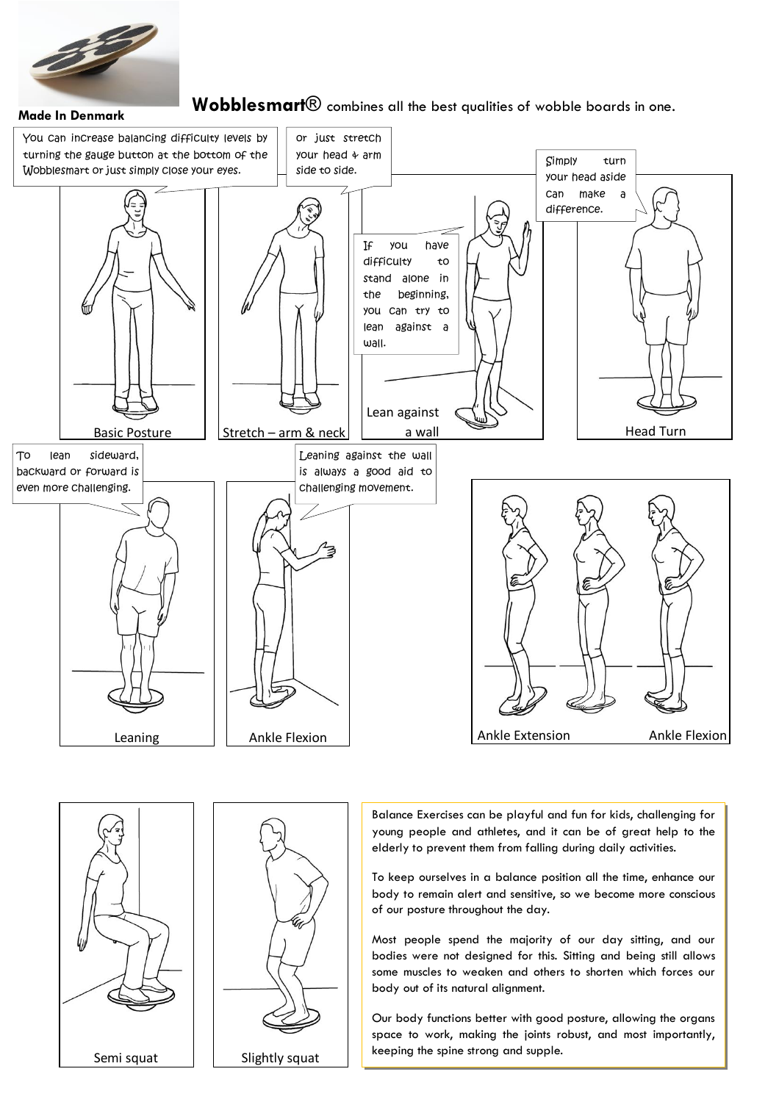

## Wobblesmart<sup>®</sup> combines all the best qualities of wobble boards in one.



Semi squat | | Slightly squat

Balance Exercises can be playful and fun for kids, challenging for young people and athletes, and it can be of great help to the elderly to prevent them from falling during daily activities.

To keep ourselves in a balance position all the time, enhance our body to remain alert and sensitive, so we become more conscious of our posture throughout the day.

Most people spend the majority of our day sitting, and our bodies were not designed for this. Sitting and being still allows some muscles to weaken and others to shorten which forces our body out of its natural alignment.

Our body functions better with good posture, allowing the organs space to work, making the joints robust, and most importantly, keeping the spine strong and supple.